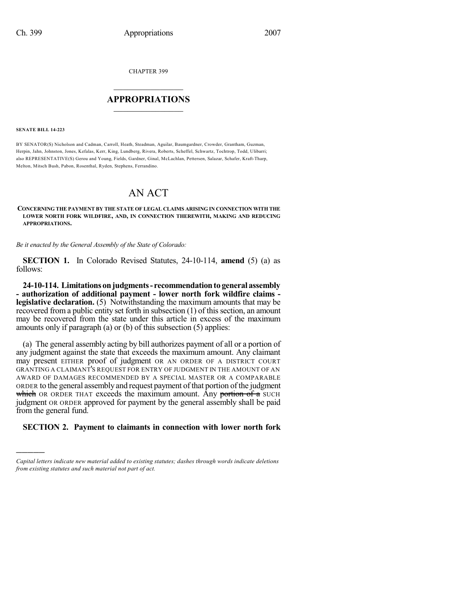CHAPTER 399

## $\mathcal{L}_\text{max}$  . The set of the set of the set of the set of the set of the set of the set of the set of the set of the set of the set of the set of the set of the set of the set of the set of the set of the set of the set **APPROPRIATIONS**  $\_$   $\_$   $\_$   $\_$   $\_$   $\_$   $\_$   $\_$

**SENATE BILL 14-223**

)))))

BY SENATOR(S) Nicholson and Cadman, Carroll, Heath, Steadman, Aguilar, Baumgardner, Crowder, Grantham, Guzman, Herpin, Jahn, Johnston, Jones, Kefalas, Kerr, King, Lundberg, Rivera, Roberts, Scheffel, Schwartz, Tochtrop, Todd, Ulibarri; also REPRESENTATIVE(S) Gerou and Young, Fields, Gardner, Ginal, McLachlan, Pettersen, Salazar, Schafer, Kraft-Tharp, Melton, Mitsch Bush, Pabon, Rosenthal, Ryden, Stephens, Ferrandino.

# AN ACT

#### **CONCERNING THE PAYMENT BY THE STATE OF LEGAL CLAIMS ARISING IN CONNECTION WITH THE LOWER NORTH FORK WILDFIRE, AND, IN CONNECTION THEREWITH, MAKING AND REDUCING APPROPRIATIONS.**

*Be it enacted by the General Assembly of the State of Colorado:*

**SECTION 1.** In Colorado Revised Statutes, 24-10-114, **amend** (5) (a) as follows:

**24-10-114. Limitations onjudgments- recommendationto general assembly - authorization of additional payment - lower north fork wildfire claims legislative declaration.** (5) Notwithstanding the maximum amounts that may be recovered from a public entity set forth in subsection  $(1)$  of this section, an amount may be recovered from the state under this article in excess of the maximum amounts only if paragraph (a) or (b) of this subsection (5) applies:

(a) The general assembly acting by bill authorizes payment of all or a portion of any judgment against the state that exceeds the maximum amount. Any claimant may present EITHER proof of judgment OR AN ORDER OF A DISTRICT COURT GRANTING A CLAIMANT'S REQUEST FOR ENTRY OF JUDGMENT IN THE AMOUNT OF AN AWARD OF DAMAGES RECOMMENDED BY A SPECIAL MASTER OR A COMPARABLE ORDER to the general assembly and request payment of that portion of the judgment which OR ORDER THAT exceeds the maximum amount. Any portion of a SUCH judgment OR ORDER approved for payment by the general assembly shall be paid from the general fund.

### **SECTION 2. Payment to claimants in connection with lower north fork**

*Capital letters indicate new material added to existing statutes; dashes through words indicate deletions from existing statutes and such material not part of act.*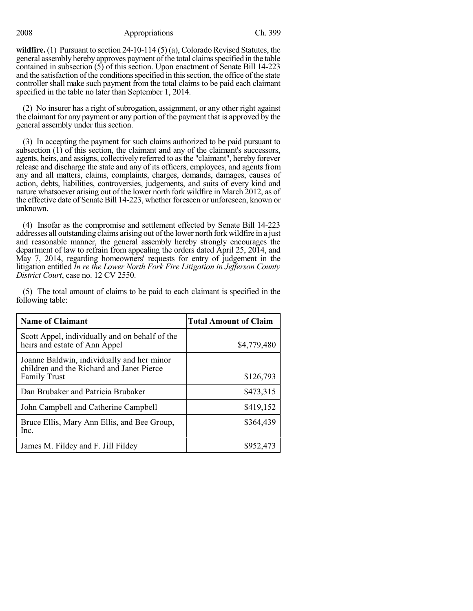2008 Appropriations Ch. 399

**wildfire.** (1) Pursuant to section 24-10-114 (5) (a), Colorado Revised Statutes, the general assembly hereby approves payment of the total claims specified in the table contained in subsection  $(5)$  of this section. Upon enactment of Senate Bill 14-223 and the satisfaction of the conditions specified in this section, the office of the state controller shall make such payment from the total claims to be paid each claimant specified in the table no later than September 1, 2014.

(2) No insurer has a right of subrogation, assignment, or any other right against the claimant for any payment or any portion of the payment that is approved by the general assembly under this section.

(3) In accepting the payment for such claims authorized to be paid pursuant to subsection (1) of this section, the claimant and any of the claimant's successors, agents, heirs, and assigns, collectively referred to asthe "claimant", hereby forever release and discharge the state and any of its officers, employees, and agents from any and all matters, claims, complaints, charges, demands, damages, causes of action, debts, liabilities, controversies, judgements, and suits of every kind and nature whatsoever arising out of the lower north fork wildfire in March 2012, as of the effective date of Senate Bill 14-223, whether foreseen or unforeseen, known or unknown.

(4) Insofar as the compromise and settlement effected by Senate Bill 14-223 addresses all outstanding claims arising out of the lower north fork wildfire in a just and reasonable manner, the general assembly hereby strongly encourages the department of law to refrain from appealing the orders dated April 25, 2014, and May 7, 2014, regarding homeowners' requests for entry of judgement in the litigation entitled *In re the Lower North Fork Fire Litigation in Jefferson County District Court*, case no. 12 CV 2550.

(5) The total amount of claims to be paid to each claimant is specified in the following table:

| <b>Name of Claimant</b>                                                                                        | <b>Total Amount of Claim</b> |
|----------------------------------------------------------------------------------------------------------------|------------------------------|
| Scott Appel, individually and on behalf of the<br>heirs and estate of Ann Appel                                | \$4,779,480                  |
| Joanne Baldwin, individually and her minor<br>children and the Richard and Janet Pierce<br><b>Family Trust</b> | \$126,793                    |
| Dan Brubaker and Patricia Brubaker                                                                             | \$473,315                    |
| John Campbell and Catherine Campbell                                                                           | \$419,152                    |
| Bruce Ellis, Mary Ann Ellis, and Bee Group,<br>Inc.                                                            | \$364,439                    |
| James M. Fildey and F. Jill Fildey                                                                             | \$952,473                    |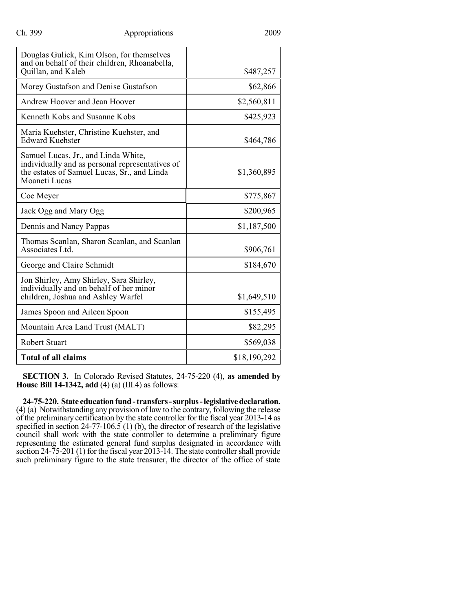| Douglas Gulick, Kim Olson, for themselves<br>and on behalf of their children, Rhoanabella,                                                             |              |
|--------------------------------------------------------------------------------------------------------------------------------------------------------|--------------|
| Quillan, and Kaleb                                                                                                                                     | \$487,257    |
| Morey Gustafson and Denise Gustafson                                                                                                                   | \$62,866     |
| Andrew Hoover and Jean Hoover                                                                                                                          | \$2,560,811  |
| Kenneth Kobs and Susanne Kobs                                                                                                                          | \$425,923    |
| Maria Kuehster, Christine Kuehster, and<br>Edward Kuehster                                                                                             | \$464,786    |
| Samuel Lucas, Jr., and Linda White,<br>individually and as personal representatives of<br>the estates of Samuel Lucas, Sr., and Linda<br>Moaneti Lucas | \$1,360,895  |
| Coe Meyer                                                                                                                                              | \$775,867    |
| Jack Ogg and Mary Ogg                                                                                                                                  | \$200,965    |
| Dennis and Nancy Pappas                                                                                                                                | \$1,187,500  |
| Thomas Scanlan, Sharon Scanlan, and Scanlan<br>Associates Ltd.                                                                                         | \$906,761    |
| George and Claire Schmidt                                                                                                                              | \$184,670    |
| Jon Shirley, Amy Shirley, Sara Shirley,<br>individually and on behalf of her minor<br>children, Joshua and Ashley Warfel                               | \$1,649,510  |
| James Spoon and Aileen Spoon                                                                                                                           | \$155,495    |
| Mountain Area Land Trust (MALT)                                                                                                                        | \$82,295     |
| <b>Robert Stuart</b>                                                                                                                                   | \$569,038    |
| <b>Total of all claims</b>                                                                                                                             | \$18,190,292 |

**SECTION 3.** In Colorado Revised Statutes, 24-75-220 (4), **as amended by House Bill 14-1342, add** (4) (a) (III.4) as follows:

**24-75-220. State educationfund-transfers-surplus-legislativedeclaration.** (4) (a) Notwithstanding any provision of law to the contrary, following the release of the preliminary certification by the state controller for the fiscal year 2013-14 as specified in section 24-77-106.5 (1) (b), the director of research of the legislative council shall work with the state controller to determine a preliminary figure representing the estimated general fund surplus designated in accordance with section  $24-75-201$  (1) for the fiscal year  $2013-14$ . The state controller shall provide such preliminary figure to the state treasurer, the director of the office of state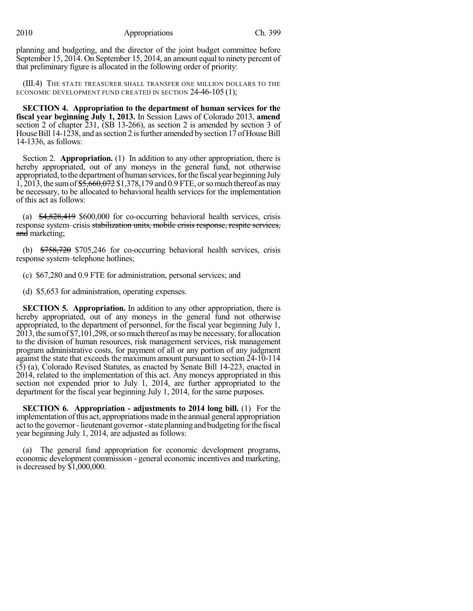planning and budgeting, and the director of the joint budget committee before September 15, 2014. On September 15, 2014, an amount equal to ninety percent of that preliminary figure is allocated in the following order of priority:

(III.4) THE STATE TREASURER SHALL TRANSFER ONE MILLION DOLLARS TO THE ECONOMIC DEVELOPMENT FUND CREATED IN SECTION 24-46-105 (1);

**SECTION 4. Appropriation to the department of human services for the fiscal year beginning July 1, 2013.** In Session Laws of Colorado 2013, **amend** section 2 of chapter 231, (SB 13-266), as section 2 is amended by section 3 of House Bill 14-1238, and as section 2 is further amended by section 17 of House Bill 14-1336, as follows:

Section 2. **Appropriation.** (1) In addition to any other appropriation, there is hereby appropriated, out of any moneys in the general fund, not otherwise appropriated, to the department of human services, for the fiscal year beginning July 1, 2013, the sum of \$5,660,072 \$1,378,179 and 0.9 FTE, or so much thereof as may be necessary, to be allocated to behavioral health services for the implementation of this act as follows:

(a) \$4,828,419 \$600,000 for co-occurring behavioral health services, crisis response system–crisis stabilization units, mobile crisis response, respite services, and marketing;

(b)  $\frac{$758,720}{$705,246}$  for co-occurring behavioral health services, crisis response system–telephone hotlines;

(c) \$67,280 and 0.9 FTE for administration, personal services; and

(d) \$5,653 for administration, operating expenses.

**SECTION 5. Appropriation.** In addition to any other appropriation, there is hereby appropriated, out of any moneys in the general fund not otherwise appropriated, to the department of personnel, for the fiscal year beginning July 1, 2013, the sum of \$7,101,298, or so much thereof as may be necessary, for allocation to the division of human resources, risk management services, risk management program administrative costs, for payment of all or any portion of any judgment against the state that exceeds the maximum amount pursuant to section 24-10-114 (5) (a), Colorado Revised Statutes, as enacted by Senate Bill 14-223, enacted in 2014, related to the implementation of this act. Any moneys appropriated in this section not expended prior to July 1, 2014, are further appropriated to the department for the fiscal year beginning July 1, 2014, for the same purposes.

**SECTION 6. Appropriation - adjustments to 2014 long bill.** (1) For the implementation ofthis act, appropriations made in the annual general appropriation act to the governor-lieutenant governor-state planning and budgeting forthe fiscal year beginning July 1, 2014, are adjusted as follows:

(a) The general fund appropriation for economic development programs, economic development commission - general economic incentives and marketing, is decreased by \$1,000,000.